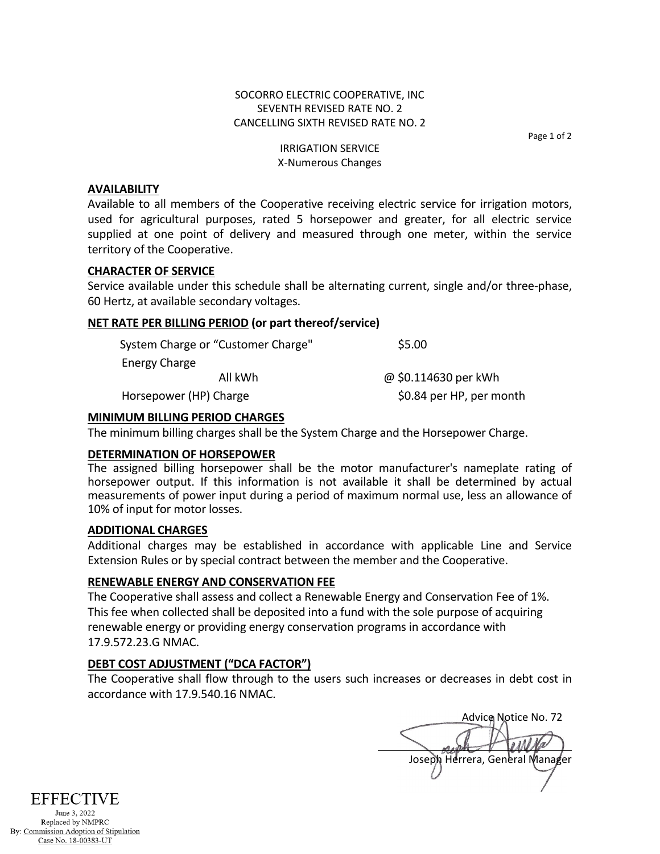### SOCORRO ELECTRIC COOPERATIVE, INC SEVENTH REVISED RATE NO. 2 CANCELLING SIXTH REVISED RATE NO. 2

Page 1 of 2

#### IRRIGATION SERVICE X-Numerous Changes

### **AVAILABILITY**

Available to all members of the Cooperative receiving electric service for irrigation motors, used for agricultural purposes, rated 5 horsepower and greater, for all electric service supplied at one point of delivery and measured through one meter, within the service territory of the Cooperative.

### **CHARACTER OF SERVICE**

Service available under this schedule shall be alternating current, single and/or three-phase, 60 Hertz, at available secondary voltages.

## **NET RATE PER BILLING PERIOD (or part thereof/service)**

| System Charge or "Customer Charge" | \$5.00                   |
|------------------------------------|--------------------------|
| Energy Charge                      |                          |
| All kWh                            | @ \$0.114630 per kWh     |
| Horsepower (HP) Charge             | \$0.84 per HP, per month |

**MINIMUM BILLING PERIOD CHARGES**

The minimum billing charges shall be the System Charge and the Horsepower Charge.

### **DETERMINATION OF HORSEPOWER**

The assigned billing horsepower shall be the motor manufacturer's nameplate rating of horsepower output. If this information is not available it shall be determined by actual measurements of power input during a period of maximum normal use, less an allowance of 10% of input for motor losses.

### **ADDITIONAL CHARGES**

Additional charges may be established in accordance with applicable Line and Service Extension Rules or by special contract between the member and the Cooperative.

### **RENEWABLE ENERGY AND CONSERVATION FEE**

The Cooperative shall assess and collect a Renewable Energy and Conservation Fee of 1%. This fee when collected shall be deposited into a fund with the sole purpose of acquiring renewable energy or providing energy conservation programs in accordance with 17.9.572.23.G NMAC.

# **DEBT COST ADJUSTMENT ("DCA FACTOR")**

The Cooperative shall flow through to the users such increases or decreases in debt cost in accordance with 17.9.540.16 NMAC.

Advice Notice No. 72 Joseph Herrera, General Manager



Replaced by NMPRC By: Commission Adoption of Stipulation Case No. 18-00383-UT